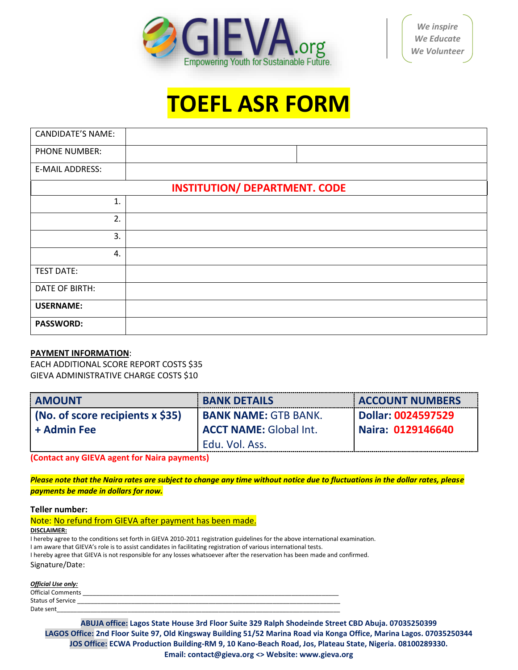

## **TOEFL ASR FORM**

| <b>CANDIDATE'S NAME:</b> |                                      |
|--------------------------|--------------------------------------|
| <b>PHONE NUMBER:</b>     |                                      |
| <b>E-MAIL ADDRESS:</b>   |                                      |
|                          | <b>INSTITUTION/ DEPARTMENT. CODE</b> |
| 1.                       |                                      |
| 2.                       |                                      |
| 3.                       |                                      |
| 4.                       |                                      |
| <b>TEST DATE:</b>        |                                      |
| DATE OF BIRTH:           |                                      |
| <b>USERNAME:</b>         |                                      |
| <b>PASSWORD:</b>         |                                      |

## **PAYMENT INFORMATION**:

EACH ADDITIONAL SCORE REPORT COSTS \$35 GIEVA ADMINISTRATIVE CHARGE COSTS \$10

| <b>AMOUNT</b>                      | <b>BANK DETAILS</b>           | <b>ACCOUNT NUMBERS</b> |
|------------------------------------|-------------------------------|------------------------|
| (No. of score recipients $x$ \$35) | <b>BANK NAME: GTB BANK.</b>   | Dollar: 0024597529     |
| + Admin Fee                        | <b>ACCT NAME:</b> Global Int. | Naira: 0129146640      |
|                                    | Edu. Vol. Ass.                |                        |

**(Contact any GIEVA agent for Naira payments)**

*Please note that the Naira rates are subject to change any time without notice due to fluctuations in the dollar rates, please payments be made in dollars for now.*

## **Teller number:**

| Note: No refund from GIEVA after payment has been made. |  |
|---------------------------------------------------------|--|
| DISCLAIMER:                                             |  |

I hereby agree to the conditions set forth in GIEVA 2010-2011 registration guidelines for the above international examination. I am aware that GIEVA's role is to assist candidates in facilitating registration of various international tests. I hereby agree that GIEVA is not responsible for any losses whatsoever after the reservation has been made and confirmed. Signature/Date:

*Official Use only:*

| <b>Official Comments</b> |  |
|--------------------------|--|
| <b>Status of Service</b> |  |
| Date sent                |  |

**ABUJA office: Lagos State House 3rd Floor Suite 329 Ralph Shodeinde Street CBD Abuja. 07035250399 LAGOS Office: 2nd Floor Suite 97, Old Kingsway Building 51/52 Marina Road via Konga Office, Marina Lagos. 07035250344 JOS Office: ECWA Production Building-RM 9, 10 Kano-Beach Road, Jos, Plateau State, Nigeria. 08100289330. Email: contact@gieva.org <> Website: www.gieva.org**